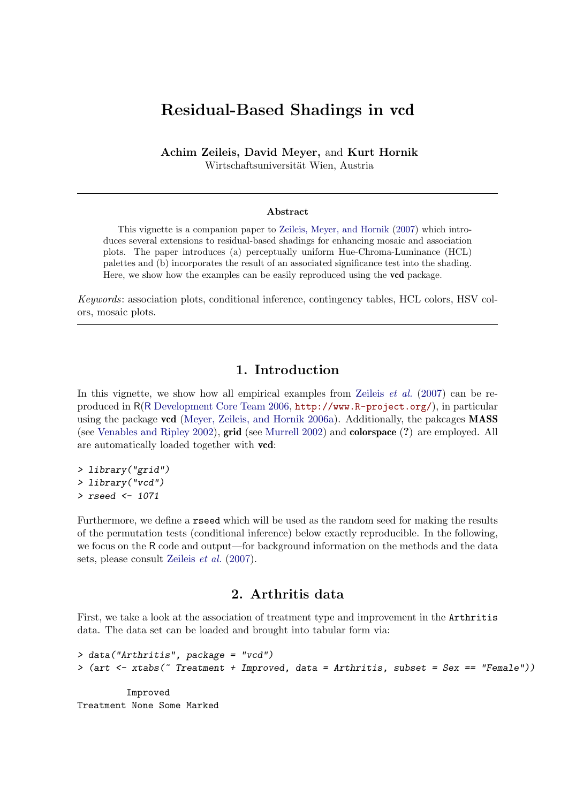# Residual-Based Shadings in vcd

Achim Zeileis, David Meyer, and Kurt Hornik Wirtschaftsuniversität Wien, Austria

#### Abstract

This vignette is a companion paper to [Zeileis, Meyer, and Hornik](#page-10-0) [\(2007\)](#page-10-0) which introduces several extensions to residual-based shadings for enhancing mosaic and association plots. The paper introduces (a) perceptually uniform Hue-Chroma-Luminance (HCL) palettes and (b) incorporates the result of an associated significance test into the shading. Here, we show how the examples can be easily reproduced using the vcd package.

Keywords: association plots, conditional inference, contingency tables, HCL colors, HSV colors, mosaic plots.

# 1. Introduction

In this vignette, we show how all empirical examples from [Zeileis](#page-10-0)  $et \ al.$  [\(2007\)](#page-10-0) can be reproduced in R(R [Development Core Team](#page-10-1) [2006,](#page-10-1) <http://www.R-project.org/>), in particular using the package vcd [\(Meyer, Zeileis, and Hornik](#page-10-2) [2006a\)](#page-10-2). Additionally, the pakcages MASS (see [Venables and Ripley](#page-10-3) [2002\)](#page-10-3), grid (see [Murrell](#page-10-4) [2002\)](#page-10-4) and colorspace (?) are employed. All are automatically loaded together with vcd:

```
> library("grid")
> library("vcd")
> rseed <- 1071
```
Furthermore, we define a rseed which will be used as the random seed for making the results of the permutation tests (conditional inference) below exactly reproducible. In the following, we focus on the R code and output—for background information on the methods and the data sets, please consult [Zeileis](#page-10-0) et al. [\(2007\)](#page-10-0).

### 2. Arthritis data

First, we take a look at the association of treatment type and improvement in the Arthritis data. The data set can be loaded and brought into tabular form via:

```
> data("Arthritis", package = "vcd")
> (art <- xtabs(~ Treatment + Improved, data = Arthritis, subset = Sex == "Female"))
         Improved
Treatment None Some Marked
```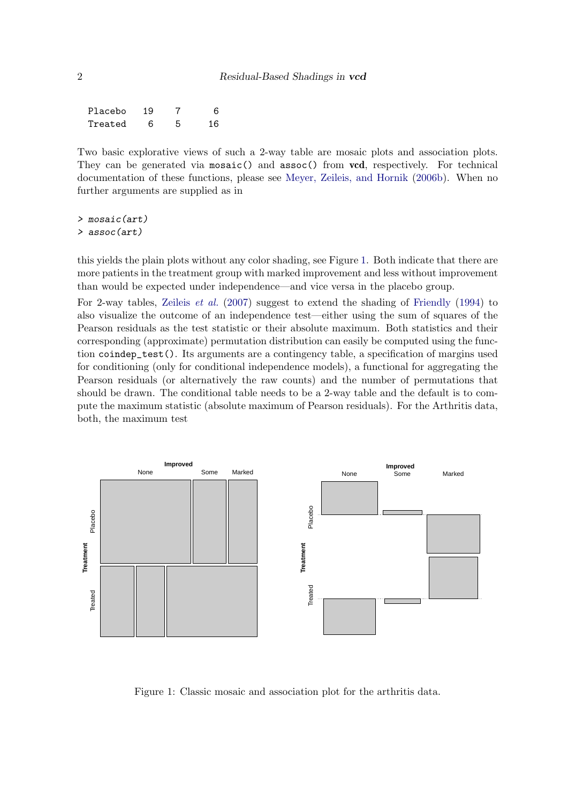| Placebo | 19 | 6  |
|---------|----|----|
| Treated | 6  | 16 |

Two basic explorative views of such a 2-way table are mosaic plots and association plots. They can be generated via mosaic() and assoc() from vcd, respectively. For technical documentation of these functions, please see [Meyer, Zeileis, and Hornik](#page-10-5) [\(2006b\)](#page-10-5). When no further arguments are supplied as in

> mosaic(art) > assoc(art)

this yields the plain plots without any color shading, see Figure [1.](#page-1-0) Both indicate that there are more patients in the treatment group with marked improvement and less without improvement than would be expected under independence—and vice versa in the placebo group.

For 2-way tables, [Zeileis](#page-10-0) et al. [\(2007\)](#page-10-0) suggest to extend the shading of [Friendly](#page-10-6) [\(1994\)](#page-10-6) to also visualize the outcome of an independence test—either using the sum of squares of the Pearson residuals as the test statistic or their absolute maximum. Both statistics and their corresponding (approximate) permutation distribution can easily be computed using the function coindep\_test(). Its arguments are a contingency table, a specification of margins used for conditioning (only for conditional independence models), a functional for aggregating the Pearson residuals (or alternatively the raw counts) and the number of permutations that should be drawn. The conditional table needs to be a 2-way table and the default is to compute the maximum statistic (absolute maximum of Pearson residuals). For the Arthritis data, both, the maximum test



<span id="page-1-0"></span>Figure 1: Classic mosaic and association plot for the arthritis data.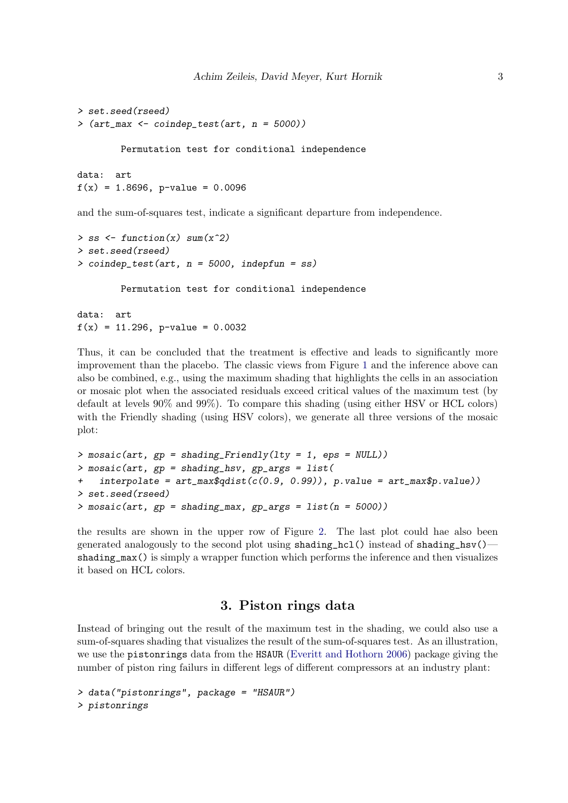```
> set.seed(rseed)
> (art_max <- coindep_test(art, n = 5000))
        Permutation test for conditional independence
data: art
```

```
f(x) = 1.8696, p-value = 0.0096
```
and the sum-of-squares test, indicate a significant departure from independence.

```
> ss \le function(x) sum(x^2)
> set.seed(rseed)
> coindep_test(art, n = 5000, indepfun = ss)
        Permutation test for conditional independence
data: art
f(x) = 11.296, p-value = 0.0032
```
Thus, it can be concluded that the treatment is effective and leads to significantly more improvement than the placebo. The classic views from Figure [1](#page-1-0) and the inference above can also be combined, e.g., using the maximum shading that highlights the cells in an association or mosaic plot when the associated residuals exceed critical values of the maximum test (by default at levels 90% and 99%). To compare this shading (using either HSV or HCL colors) with the Friendly shading (using HSV colors), we generate all three versions of the mosaic plot:

```
> mosaic(art, gp = shading_Friendly(lty = 1, eps = NULL))
> mosaic(art, gp = shading_hsv, gp_args = list(
    interpolate = art_max$qdist(c(0.9, 0.99)), p.value = art_max$p.value))> set.seed(rseed)
> mosaic(art, gp = shading_max, gp_args = list(n = 5000))
```
the results are shown in the upper row of Figure [2.](#page-4-0) The last plot could hae also been generated analogously to the second plot using  $shading_hcl()$  instead of  $shading_hsv()$ shading\_max() is simply a wrapper function which performs the inference and then visualizes it based on HCL colors.

### 3. Piston rings data

Instead of bringing out the result of the maximum test in the shading, we could also use a sum-of-squares shading that visualizes the result of the sum-of-squares test. As an illustration, we use the pistonrings data from the HSAUR [\(Everitt and Hothorn](#page-10-7) [2006\)](#page-10-7) package giving the number of piston ring failurs in different legs of different compressors at an industry plant:

```
> data("pistonrings", package = "HSAUR")
> pistonrings
```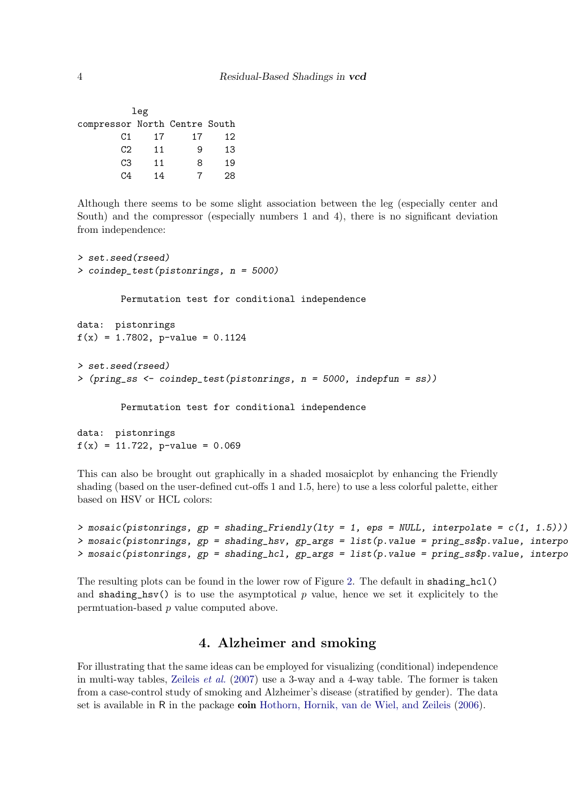|                               | leg |    |    |
|-------------------------------|-----|----|----|
| compressor North Centre South |     |    |    |
| C1                            | 17  | 17 | 12 |
| C <sub>2</sub>                | 11  | 9  | 13 |
| CЗ                            | 11  | 8  | 19 |
| ۲.4                           | 14  |    | 28 |
|                               |     |    |    |

Although there seems to be some slight association between the leg (especially center and South) and the compressor (especially numbers 1 and 4), there is no significant deviation from independence:

```
> set.seed(rseed)
> coindep_test(pistonrings, n = 5000)
        Permutation test for conditional independence
data: pistonrings
f(x) = 1.7802, p-value = 0.1124
> set.seed(rseed)
> (pring_ss <- coindep_test(pistonrings, n = 5000, indepfun = ss))
        Permutation test for conditional independence
```

```
data: pistonrings
f(x) = 11.722, p-value = 0.069
```
This can also be brought out graphically in a shaded mosaicplot by enhancing the Friendly shading (based on the user-defined cut-offs 1 and 1.5, here) to use a less colorful palette, either based on HSV or HCL colors:

```
> mosaic(pistonrings, gp = \text{shading\_Friendly}(lty = 1, \text{eps} = \text{NULL}, \text{interpolate} = c(1, 1.5)))
> mosaic(pistonrings, gp = shading_hsv, gp_args = list(p.value = pring_ss$p.value, interpo
> mosaic(pistonrings, gp = shading_hcl, gp_args = list(p.value = pring_ss$p.value, interpo
```
The resulting plots can be found in the lower row of Figure [2.](#page-4-0) The default in shading\_hcl() and shading\_hsv() is to use the asymptotical p value, hence we set it explicitely to the permtuation-based p value computed above.

# 4. Alzheimer and smoking

For illustrating that the same ideas can be employed for visualizing (conditional) independence in multi-way tables, [Zeileis](#page-10-0) *et al.* [\(2007\)](#page-10-0) use a 3-way and a 4-way table. The former is taken from a case-control study of smoking and Alzheimer's disease (stratified by gender). The data set is available in R in the package coin [Hothorn, Hornik, van de Wiel, and Zeileis](#page-10-8) [\(2006\)](#page-10-8).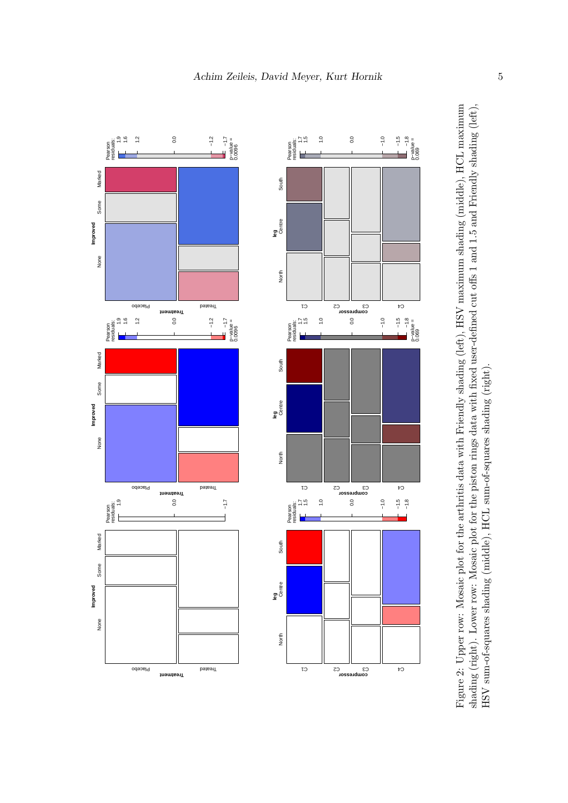

<span id="page-4-0"></span>Figure 2: Upper row: Mosaic plot for the arthritis data with Friendly shading (left), HSV maximum shading (middle), HCL maximum shading (right). Lower row: Mosaic plot for the piston rings data with fixed user-defined cut offs 1 and 1.5 and Friendly shading (left), Figure 2: Upper row: Mosaic plot for the arthritis data with Friendly shading (left), HSV maximum shading (middle), HCL maximum shading (right). Lower row: Mosaic plot for the piston rings data with fixed user-defined cut offs 1 and 1.5 and Friendly shading (left), HSV sum-of-squares shading (middle), HCL sum-of-squares shading (right).HSV sum-of-squares shading (middle), HCL sum-of-squares shading (right)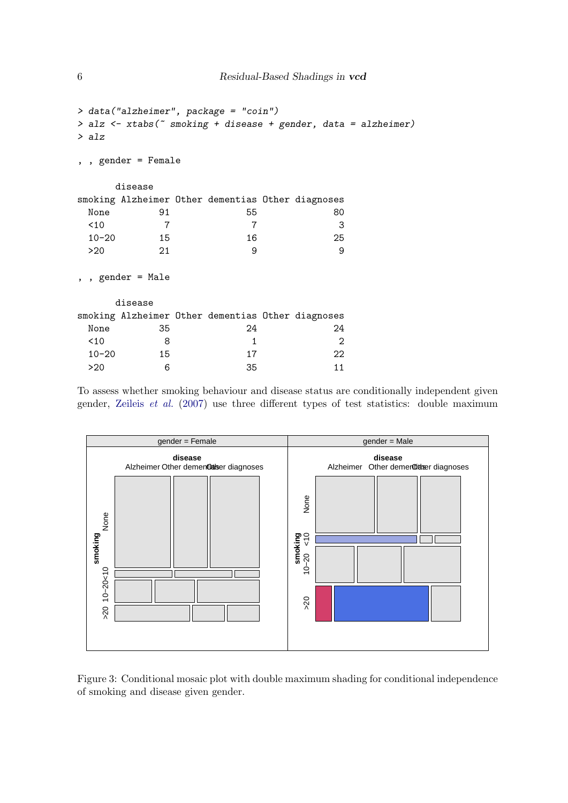```
> data("alzheimer", package = "coin")
> alz <- xtabs(~ smoking + disease + gender, data = alzheimer)
> alz
, , gender = Female
    disease
smoking Alzheimer Other dementias Other diagnoses
 None 91 55 80
 <10 7 7 3
 10-20 15 16 25
 >20 21 9 9
, , gender = Male
    disease
smoking Alzheimer Other dementias Other diagnoses
 None 35 24 24
 \begin{array}{cccc} 10 & 8 & 1 & 2 \end{array}10-20 15 17 22
 >20 6 35 11
```
To assess whether smoking behaviour and disease status are conditionally independent given gender, [Zeileis](#page-10-0) et al. [\(2007\)](#page-10-0) use three different types of test statistics: double maximum



<span id="page-5-0"></span>Figure 3: Conditional mosaic plot with double maximum shading for conditional independence of smoking and disease given gender.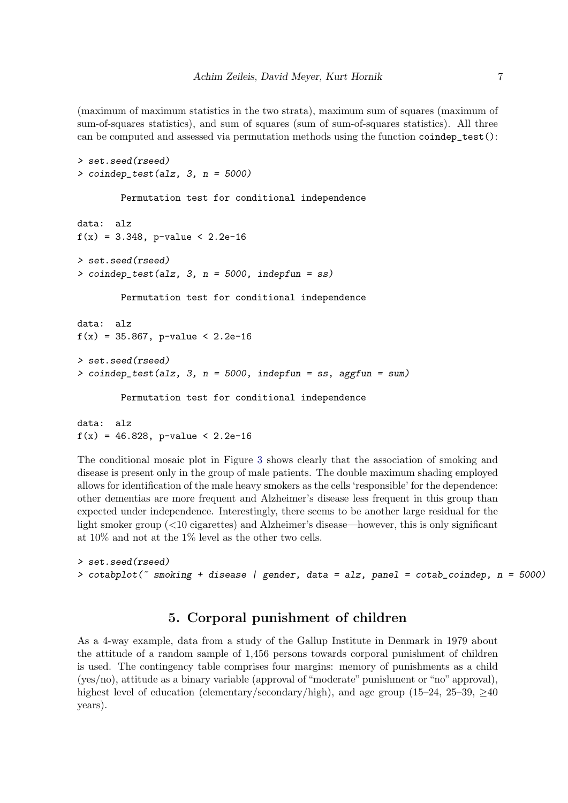(maximum of maximum statistics in the two strata), maximum sum of squares (maximum of sum-of-squares statistics), and sum of squares (sum of sum-of-squares statistics). All three can be computed and assessed via permutation methods using the function coindep\_test():

```
> set.seed(rseed)
> coindep_test(alz, 3, n = 5000)
        Permutation test for conditional independence
data: alz
f(x) = 3.348, p-value < 2.2e-16
> set.seed(rseed)
> coindep_test(alz, 3, n = 5000, indepfun = ss)
        Permutation test for conditional independence
data: alz
f(x) = 35.867, p-value < 2.2e-16
> set.seed(rseed)
> coindep_test(alz, 3, n = 5000, indepfun = ss, aggfun = sum)
        Permutation test for conditional independence
data: alz
```
 $f(x) = 46.828$ , p-value < 2.2e-16 The conditional mosaic plot in Figure [3](#page-5-0) shows clearly that the association of smoking and

disease is present only in the group of male patients. The double maximum shading employed allows for identification of the male heavy smokers as the cells 'responsible' for the dependence: other dementias are more frequent and Alzheimer's disease less frequent in this group than expected under independence. Interestingly, there seems to be another large residual for the light smoker group (<10 cigarettes) and Alzheimer's disease—however, this is only significant at 10% and not at the 1% level as the other two cells.

```
> set.seed(rseed)
> cotabplot(\degree smoking + disease | gender, data = alz, panel = cotab_coindep, n = 5000)
```
# 5. Corporal punishment of children

As a 4-way example, data from a study of the Gallup Institute in Denmark in 1979 about the attitude of a random sample of 1,456 persons towards corporal punishment of children is used. The contingency table comprises four margins: memory of punishments as a child (yes/no), attitude as a binary variable (approval of "moderate" punishment or "no" approval), highest level of education (elementary/secondary/high), and age group (15–24, 25–39,  $\geq$ 40 years).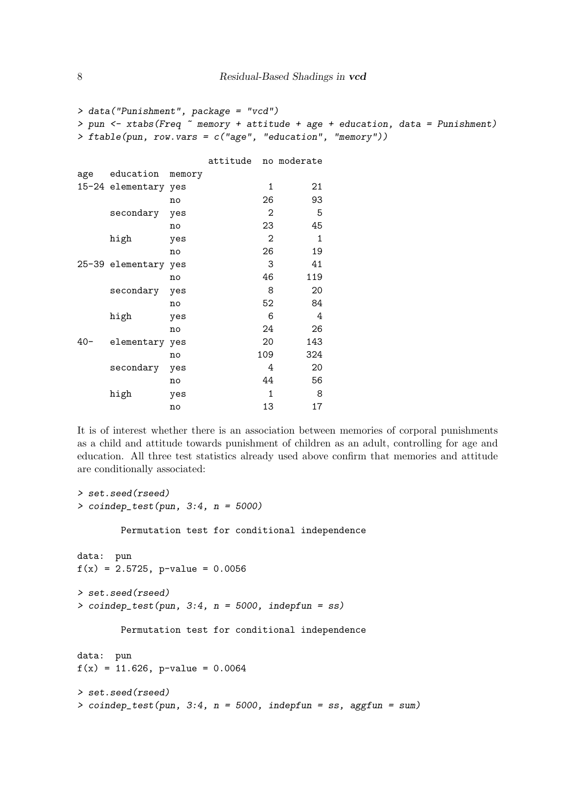```
> data("Punishment", package = "vcd")
> pun <- xtabs(Freq ~ memory + attitude + age + education, data = Punishment)
> ftable(pun, row.vars = c("age", "education", "memory"))
             attitude no moderate
age education memory
15-24 elementary yes 1 21
         no 26 93
   secondary yes 2 5
         no 23 45
   high yes 2 1
         no 26 19
25-39 elementary yes 3 41
         no 46 119
   secondary yes 8 20
         no 52 84
   high yes 6 4
         no 24 26
40- elementary yes 20 143
         no 109 324
   secondary yes 4 20
         no 44 56
   high yes 1 8
         no 13 17
```
It is of interest whether there is an association between memories of corporal punishments as a child and attitude towards punishment of children as an adult, controlling for age and education. All three test statistics already used above confirm that memories and attitude are conditionally associated:

```
> set.seed(rseed)
> coindep_test(pun, 3:4, n = 5000)
        Permutation test for conditional independence
data: pun
f(x) = 2.5725, p-value = 0.0056
> set.seed(rseed)
> coindep_test(pun, 3:4, n = 5000, indepfun = ss)
        Permutation test for conditional independence
data: pun
f(x) = 11.626, p-value = 0.0064
> set.seed(rseed)
> coindep_test(pun, 3:4, n = 5000, indepfun = ss, aggfun = sum)
```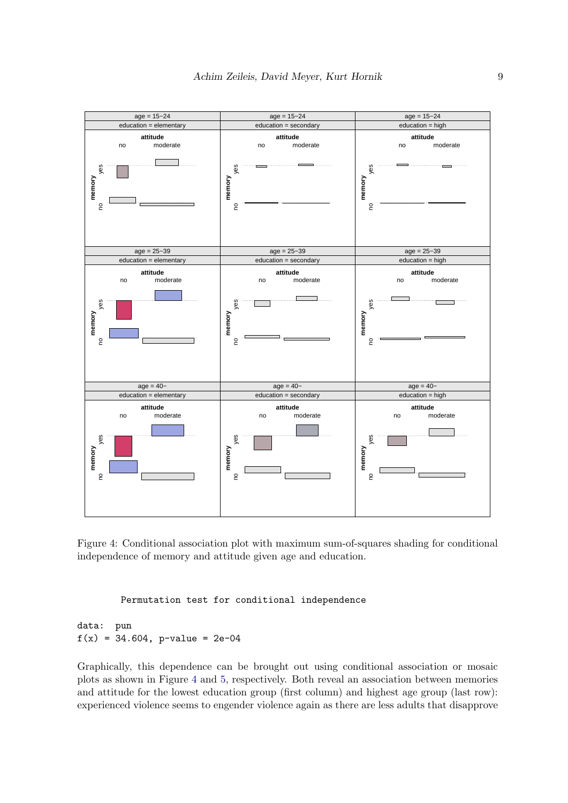

<span id="page-8-0"></span>Figure 4: Conditional association plot with maximum sum-of-squares shading for conditional independence of memory and attitude given age and education.

Permutation test for conditional independence

data: pun  $f(x) = 34.604$ , p-value = 2e-04

Graphically, this dependence can be brought out using conditional association or mosaic plots as shown in Figure [4](#page-8-0) and [5,](#page-9-0) respectively. Both reveal an association between memories and attitude for the lowest education group (first column) and highest age group (last row): experienced violence seems to engender violence again as there are less adults that disapprove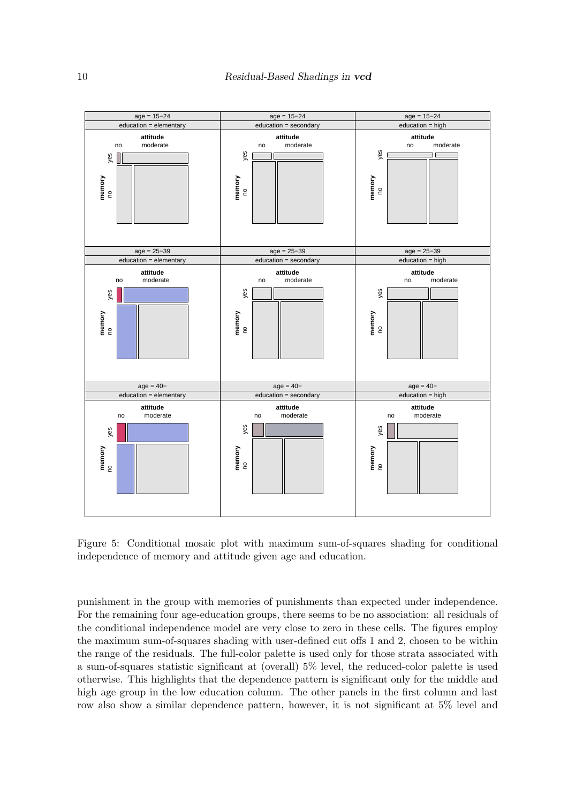

<span id="page-9-0"></span>Figure 5: Conditional mosaic plot with maximum sum-of-squares shading for conditional independence of memory and attitude given age and education.

punishment in the group with memories of punishments than expected under independence. For the remaining four age-education groups, there seems to be no association: all residuals of the conditional independence model are very close to zero in these cells. The figures employ the maximum sum-of-squares shading with user-defined cut offs 1 and 2, chosen to be within the range of the residuals. The full-color palette is used only for those strata associated with a sum-of-squares statistic significant at (overall) 5% level, the reduced-color palette is used otherwise. This highlights that the dependence pattern is significant only for the middle and high age group in the low education column. The other panels in the first column and last row also show a similar dependence pattern, however, it is not significant at 5% level and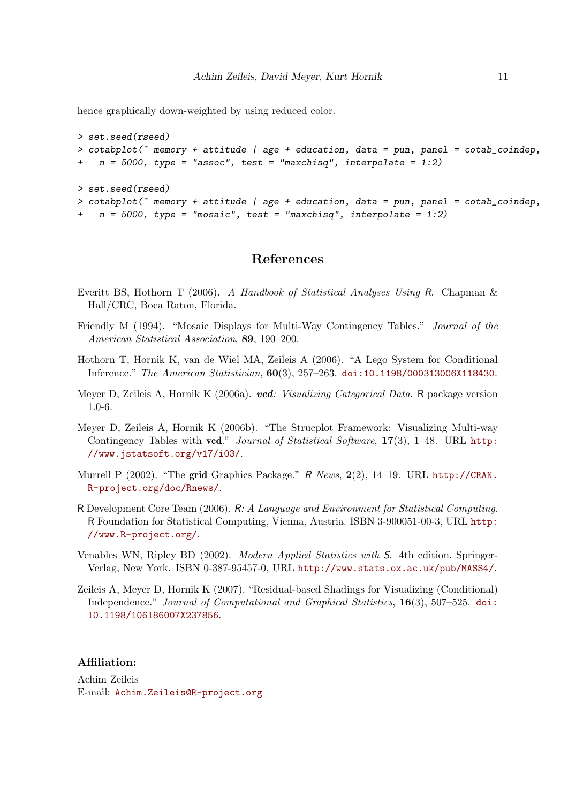hence graphically down-weighted by using reduced color.

```
> set.seed(rseed)
> cotabplot(\tilde{ } memory + attitude | age + education, data = pun, panel = cotab_coindep,
   n = 5000, type = "assoc", test = "maxchisq", interpolate = 1:2)
> set.seed(rseed)
> cotabplot(~ memory + attitude | age + education, data = pun, panel = cotab_coindep,
   n = 5000, type = "mosaic", test = "maxchisq", interpolate = 1:2)
```
## References

- <span id="page-10-7"></span>Everitt BS, Hothorn T (2006). A Handbook of Statistical Analyses Using R. Chapman & Hall/CRC, Boca Raton, Florida.
- <span id="page-10-6"></span>Friendly M (1994). "Mosaic Displays for Multi-Way Contingency Tables." Journal of the American Statistical Association, 89, 190–200.
- <span id="page-10-8"></span>Hothorn T, Hornik K, van de Wiel MA, Zeileis A (2006). "A Lego System for Conditional Inference." The American Statistician, 60(3), 257–263. [doi:10.1198/000313006X118430](http://dx.doi.org/10.1198/000313006X118430).
- <span id="page-10-2"></span>Meyer D, Zeileis A, Hornik K (2006a). vcd: Visualizing Categorical Data. R package version 1.0-6.
- <span id="page-10-5"></span>Meyer D, Zeileis A, Hornik K (2006b). "The Strucplot Framework: Visualizing Multi-way Contingency Tables with vcd." Journal of Statistical Software,  $17(3)$ , 1–48. URL [http:](http://www.jstatsoft.org/v17/i03/) [//www.jstatsoft.org/v17/i03/](http://www.jstatsoft.org/v17/i03/).
- <span id="page-10-4"></span>Murrell P (2002). "The grid Graphics Package." R News, 2(2), 14–19. URL [http://CRAN.](http://CRAN.R-project.org/doc/Rnews/) [R-project.org/doc/Rnews/](http://CRAN.R-project.org/doc/Rnews/).
- <span id="page-10-1"></span>R Development Core Team (2006). R: A Language and Environment for Statistical Computing. R Foundation for Statistical Computing, Vienna, Austria. ISBN 3-900051-00-3, URL [http:](http://www.R-project.org/) [//www.R-project.org/](http://www.R-project.org/).
- <span id="page-10-3"></span>Venables WN, Ripley BD (2002). Modern Applied Statistics with S. 4th edition. Springer-Verlag, New York. ISBN 0-387-95457-0, URL <http://www.stats.ox.ac.uk/pub/MASS4/>.
- <span id="page-10-0"></span>Zeileis A, Meyer D, Hornik K (2007). "Residual-based Shadings for Visualizing (Conditional) Independence." Journal of Computational and Graphical Statistics, 16(3), 507–525. [doi:](http://dx.doi.org/10.1198/106186007X237856) [10.1198/106186007X237856](http://dx.doi.org/10.1198/106186007X237856).

#### Affiliation:

Achim Zeileis E-mail: [Achim.Zeileis@R-project.org](mailto:Achim.Zeileis@R-project.org)